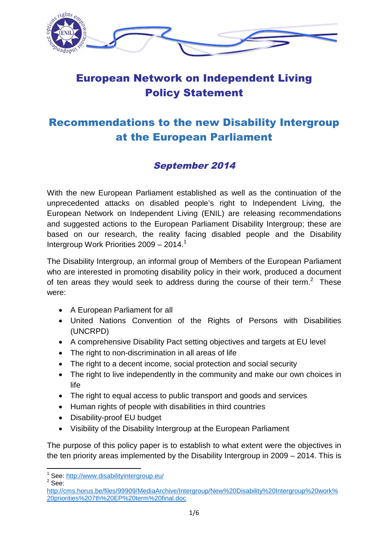

# European Network on Independent Living Policy Statement

# Recommendations to the new Disability Intergroup at the European Parliament

# September 2014

With the new European Parliament established as well as the continuation of the unprecedented attacks on disabled people's right to Independent Living, the European Network on Independent Living (ENIL) are releasing recommendations and suggested actions to the European Parliament Disability Intergroup; these are based on our research, the reality facing disabled people and the Disability Intergroup Work Priorities 2009 - 2014.<sup>1</sup>

The Disability Intergroup, an informal group of Members of the European Parliament who are interested in promoting disability policy in their work, produced a document of ten areas they would seek to address during the course of their term.<sup>2</sup> These were:

- A European Parliament for all
- United Nations Convention of the Rights of Persons with Disabilities (UNCRPD)
- A comprehensive Disability Pact setting objectives and targets at EU level
- The right to non-discrimination in all areas of life
- The right to a decent income, social protection and social security
- The right to live independently in the community and make our own choices in life
- The right to equal access to public transport and goods and services
- Human rights of people with disabilities in third countries
- Disability-proof EU budget
- Visibility of the Disability Intergroup at the European Parliament

The purpose of this policy paper is to establish to what extent were the objectives in the ten priority areas implemented by the Disability Intergroup in 2009 – 2014. This is

<sup>&</sup>lt;sup>1</sup> See: http://www.disabilityintergroup.eu/

 $2$  See:

http://cms.horus.be/files/99909/MediaArchive/Intergroup/New%20Disability%20Intergroup%20work% 20priorities%207th%20EP%20term%20final.doc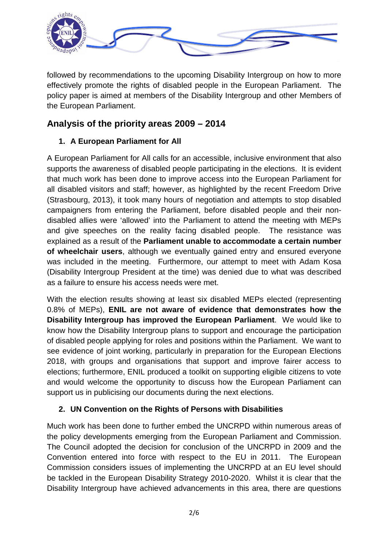

followed by recommendations to the upcoming Disability Intergroup on how to more effectively promote the rights of disabled people in the European Parliament. The policy paper is aimed at members of the Disability Intergroup and other Members of the European Parliament.

# **Analysis of the priority areas 2009 – 2014**

## **1. A European Parliament for All**

A European Parliament for All calls for an accessible, inclusive environment that also supports the awareness of disabled people participating in the elections. It is evident that much work has been done to improve access into the European Parliament for all disabled visitors and staff; however, as highlighted by the recent Freedom Drive (Strasbourg, 2013), it took many hours of negotiation and attempts to stop disabled campaigners from entering the Parliament, before disabled people and their nondisabled allies were 'allowed' into the Parliament to attend the meeting with MEPs and give speeches on the reality facing disabled people. The resistance was explained as a result of the **Parliament unable to accommodate a certain number of wheelchair users**, although we eventually gained entry and ensured everyone was included in the meeting. Furthermore, our attempt to meet with Adam Kosa (Disability Intergroup President at the time) was denied due to what was described as a failure to ensure his access needs were met.

With the election results showing at least six disabled MEPs elected (representing 0.8% of MEPs), **ENIL are not aware of evidence that demonstrates how the Disability Intergroup has improved the European Parliament**. We would like to know how the Disability Intergroup plans to support and encourage the participation of disabled people applying for roles and positions within the Parliament. We want to see evidence of joint working, particularly in preparation for the European Elections 2018, with groups and organisations that support and improve fairer access to elections; furthermore, ENIL produced a toolkit on supporting eligible citizens to vote and would welcome the opportunity to discuss how the European Parliament can support us in publicising our documents during the next elections.

## **2. UN Convention on the Rights of Persons with Disabilities**

Much work has been done to further embed the UNCRPD within numerous areas of the policy developments emerging from the European Parliament and Commission. The Council adopted the decision for conclusion of the UNCRPD in 2009 and the Convention entered into force with respect to the EU in 2011. The European Commission considers issues of implementing the UNCRPD at an EU level should be tackled in the European Disability Strategy 2010-2020. Whilst it is clear that the Disability Intergroup have achieved advancements in this area, there are questions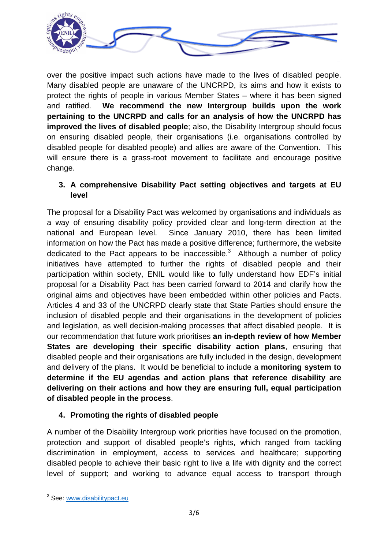

over the positive impact such actions have made to the lives of disabled people. Many disabled people are unaware of the UNCRPD, its aims and how it exists to protect the rights of people in various Member States – where it has been signed and ratified. **We recommend the new Intergroup builds upon the work pertaining to the UNCRPD and calls for an analysis of how the UNCRPD has improved the lives of disabled people**; also, the Disability Intergroup should focus on ensuring disabled people, their organisations (i.e. organisations controlled by disabled people for disabled people) and allies are aware of the Convention. This will ensure there is a grass-root movement to facilitate and encourage positive change.

#### **3. A comprehensive Disability Pact setting objectives and targets at EU level**

The proposal for a Disability Pact was welcomed by organisations and individuals as a way of ensuring disability policy provided clear and long-term direction at the national and European level. Since January 2010, there has been limited information on how the Pact has made a positive difference; furthermore, the website dedicated to the Pact appears to be inaccessible.<sup>3</sup> Although a number of policy initiatives have attempted to further the rights of disabled people and their participation within society, ENIL would like to fully understand how EDF's initial proposal for a Disability Pact has been carried forward to 2014 and clarify how the original aims and objectives have been embedded within other policies and Pacts. Articles 4 and 33 of the UNCRPD clearly state that State Parties should ensure the inclusion of disabled people and their organisations in the development of policies and legislation, as well decision-making processes that affect disabled people. It is our recommendation that future work prioritises **an in-depth review of how Member States are developing their specific disability action plans**, ensuring that disabled people and their organisations are fully included in the design, development and delivery of the plans. It would be beneficial to include a **monitoring system to determine if the EU agendas and action plans that reference disability are delivering on their actions and how they are ensuring full, equal participation of disabled people in the process**.

## **4. Promoting the rights of disabled people**

A number of the Disability Intergroup work priorities have focused on the promotion, protection and support of disabled people's rights, which ranged from tackling discrimination in employment, access to services and healthcare; supporting disabled people to achieve their basic right to live a life with dignity and the correct level of support; and working to advance equal access to transport through

<sup>&</sup>lt;sup>3</sup> See: www.disabilitypact.eu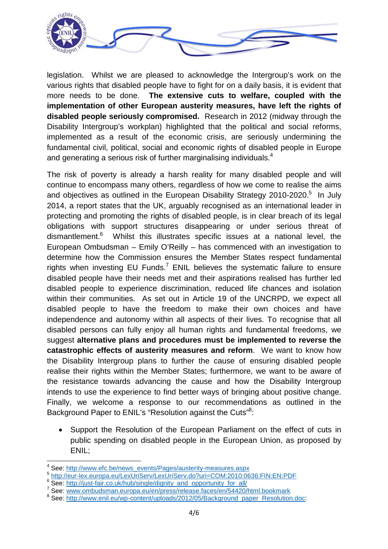

legislation. Whilst we are pleased to acknowledge the Intergroup's work on the various rights that disabled people have to fight for on a daily basis, it is evident that more needs to be done. **The extensive cuts to welfare, coupled with the implementation of other European austerity measures, have left the rights of disabled people seriously compromised.** Research in 2012 (midway through the Disability Intergroup's workplan) highlighted that the political and social reforms, implemented as a result of the economic crisis, are seriously undermining the fundamental civil, political, social and economic rights of disabled people in Europe and generating a serious risk of further marginalising individuals.<sup>4</sup>

The risk of poverty is already a harsh reality for many disabled people and will continue to encompass many others, regardless of how we come to realise the aims and objectives as outlined in the European Disability Strategy 2010-2020.<sup>5</sup> In July 2014, a report states that the UK, arguably recognised as an international leader in protecting and promoting the rights of disabled people, is in clear breach of its legal obligations with support structures disappearing or under serious threat of dismantlement.<sup>6</sup> Whilst this illustrates specific issues at a national level, the European Ombudsman – Emily O'Reilly – has commenced with an investigation to determine how the Commission ensures the Member States respect fundamental rights when investing EU Funds.<sup>7</sup> ENIL believes the systematic failure to ensure disabled people have their needs met and their aspirations realised has further led disabled people to experience discrimination, reduced life chances and isolation within their communities. As set out in Article 19 of the UNCRPD, we expect all disabled people to have the freedom to make their own choices and have independence and autonomy within all aspects of their lives. To recognise that all disabled persons can fully enjoy all human rights and fundamental freedoms, we suggest **alternative plans and procedures must be implemented to reverse the catastrophic effects of austerity measures and reform**. We want to know how the Disability Intergroup plans to further the cause of ensuring disabled people realise their rights within the Member States; furthermore, we want to be aware of the resistance towards advancing the cause and how the Disability Intergroup intends to use the experience to find better ways of bringing about positive change. Finally, we welcome a response to our recommendations as outlined in the Background Paper to ENIL's "Resolution against the Cuts"<sup>8</sup>:

 Support the Resolution of the European Parliament on the effect of cuts in public spending on disabled people in the European Union, as proposed by ENIL;

7 See: www.ombudsman.europa.eu/en/press/release.faces/en/54420/html.bookmark

<sup>4</sup> See: http://www.efc.be/news\_events/Pages/austerity-measures.aspx

<sup>5</sup> http://eur-lex.europa.eu/LexUriServ/LexUriServ.do?uri=COM:2010:0636:FIN:EN:PDF

<sup>&</sup>lt;sup>6</sup> See: http://just-fair.co.uk/hub/single/dignity\_and\_opportunity\_for\_all/

<sup>&</sup>lt;sup>8</sup> See: http://www.enil.eu/wp-content/uploads/2012/05/Background\_paper\_Resolution.doc: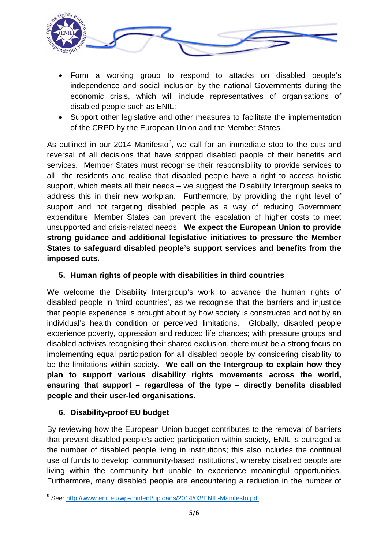

- Form a working group to respond to attacks on disabled people's independence and social inclusion by the national Governments during the economic crisis, which will include representatives of organisations of disabled people such as ENIL;
- Support other legislative and other measures to facilitate the implementation of the CRPD by the European Union and the Member States.

As outlined in our 2014 Manifesto<sup>9</sup>, we call for an immediate stop to the cuts and reversal of all decisions that have stripped disabled people of their benefits and services. Member States must recognise their responsibility to provide services to all the residents and realise that disabled people have a right to access holistic support, which meets all their needs – we suggest the Disability Intergroup seeks to address this in their new workplan. Furthermore, by providing the right level of support and not targeting disabled people as a way of reducing Government expenditure, Member States can prevent the escalation of higher costs to meet unsupported and crisis-related needs. **We expect the European Union to provide strong guidance and additional legislative initiatives to pressure the Member States to safeguard disabled people's support services and benefits from the imposed cuts.**

#### **5. Human rights of people with disabilities in third countries**

We welcome the Disability Intergroup's work to advance the human rights of disabled people in 'third countries', as we recognise that the barriers and injustice that people experience is brought about by how society is constructed and not by an individual's health condition or perceived limitations. Globally, disabled people experience poverty, oppression and reduced life chances; with pressure groups and disabled activists recognising their shared exclusion, there must be a strong focus on implementing equal participation for all disabled people by considering disability to be the limitations within society. **We call on the Intergroup to explain how they plan to support various disability rights movements across the world, ensuring that support – regardless of the type – directly benefits disabled people and their user-led organisations.**

## **6. Disability-proof EU budget**

By reviewing how the European Union budget contributes to the removal of barriers that prevent disabled people's active participation within society, ENIL is outraged at the number of disabled people living in institutions; this also includes the continual use of funds to develop 'community-based institutions', whereby disabled people are living within the community but unable to experience meaningful opportunities. Furthermore, many disabled people are encountering a reduction in the number of

<sup>&</sup>lt;sup>9</sup> See: http://www.enil.eu/wp-content/uploads/2014/03/ENIL-Manifesto.pdf